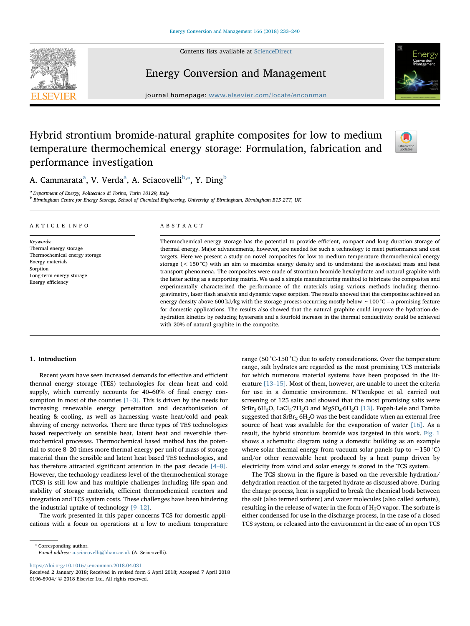Contents lists available at [ScienceDirect](http://www.sciencedirect.com/science/journal/01968904)





### Energy Conversion and Management

journal homepage: [www.elsevier.com/locate/enconman](https://www.elsevier.com/locate/enconman)

## Hybrid strontium bromide-natural graphite composites for low to medium temperature thermochemical energy storage: Formulation, fabrication and performance investigation



A. C[a](#page-0-0)mmarata<sup>a</sup>, V. Verda<sup>a</sup>, A. Sciacovelli<sup>[b](#page-0-1),</sup>\*, Y. Ding<sup>b</sup>

<span id="page-0-0"></span><sup>a</sup> Department of Energy, Politecnico di Torino, Turin 10129, Italy

<span id="page-0-1"></span><sup>b</sup> Birmingham Centre for Energy Storage, School of Chemical Engineering, University of Birmingham, Birmingham B15 2TT, UK

#### ARTICLE INFO

Thermal energy storage Thermochemical energy storage

Long-term energy storage Energy efficiency

Energy materials Sorption

Keywords:

ABSTRACT

Thermochemical energy storage has the potential to provide efficient, compact and long duration storage of thermal energy. Major advancements, however, are needed for such a technology to meet performance and cost targets. Here we present a study on novel composites for low to medium temperature thermochemical energy storage (< 150 °C) with an aim to maximize energy density and to understand the associated mass and heat transport phenomena. The composites were made of strontium bromide hexahydrate and natural graphite with the latter acting as a supporting matrix. We used a simple manufacturing method to fabricate the composites and experimentally characterized the performance of the materials using various methods including thermogravimetry, laser flash analysis and dynamic vapor sorption. The results showed that the composites achieved an energy density above 600 kJ/kg with the storage process occurring mostly below ∼100 °C – a promising feature for domestic applications. The results also showed that the natural graphite could improve the hydration-dehydration kinetics by reducing hysteresis and a fourfold increase in the thermal conductivity could be achieved with 20% of natural graphite in the composite.

#### 1. Introduction

Recent years have seen increased demands for effective and efficient thermal energy storage (TES) technologies for clean heat and cold supply, which currently accounts for 40–60% of final energy consumption in most of the counties  $[1-3]$  $[1-3]$ . This is driven by the needs for increasing renewable energy penetration and decarbonisation of heating & cooling, as well as harnessing waste heat/cold and peak shaving of energy networks. There are three types of TES technologies based respectively on sensible heat, latent heat and reversible thermochemical processes. Thermochemical based method has the potential to store 8–20 times more thermal energy per unit of mass of storage material than the sensible and latent heat based TES technologies, and has therefore attracted significant attention in the past decade [\[4](#page--1-1)–8]. However, the technology readiness level of the thermochemical storage (TCS) is still low and has multiple challenges including life span and stability of storage materials, efficient thermochemical reactors and integration and TCS system costs. These challenges have been hindering the industrial uptake of technology [9–[12\].](#page--1-2)

The work presented in this paper concerns TCS for domestic applications with a focus on operations at a low to medium temperature

<span id="page-0-2"></span>⁎ Corresponding author. E-mail address: [a.sciacovelli@bham.ac.uk](mailto:a.sciacovelli@bham.ac.uk) (A. Sciacovelli).

<https://doi.org/10.1016/j.enconman.2018.04.031>

range (50 °C-150 °C) due to safety considerations. Over the temperature range, salt hydrates are regarded as the most promising TCS materials for which numerous material systems have been proposed in the literature [13–[15\].](#page--1-3) Most of them, however, are unable to meet the criteria for use in a domestic environment. N'Tsoukpoe et al. carried out screening of 125 salts and showed that the most promising salts were  $SrBr_2·6H_2O$ , LaCl<sub>3</sub><sup>·</sup>7H<sub>2</sub>O and MgSO<sub>4</sub>·6H<sub>2</sub>O [\[13\].](#page--1-3) Fopah-Lele and Tamba suggested that  $SrBr<sub>2</sub> 6H<sub>2</sub>O$  was the best candidate when an external free source of heat was available for the evaporation of water [\[16\]](#page--1-4). As a result, the hybrid strontium bromide was targeted in this work. [Fig. 1](#page-1-0) shows a schematic diagram using a domestic building as an example where solar thermal energy from vacuum solar panels (up to ~150 °C) and/or other renewable heat produced by a heat pump driven by electricity from wind and solar energy is stored in the TCS system.

The TCS shown in the figure is based on the reversible hydration/ dehydration reaction of the targeted hydrate as discussed above. During the charge process, heat is supplied to break the chemical bods between the salt (also termed sorbent) and water molecules (also called sorbate), resulting in the release of water in the form of  $H_2O$  vapor. The sorbate is either condensed for use in the discharge process, in the case of a closed TCS system, or released into the environment in the case of an open TCS

Received 2 January 2018; Received in revised form 6 April 2018; Accepted 7 April 2018 0196-8904/ © 2018 Elsevier Ltd. All rights reserved.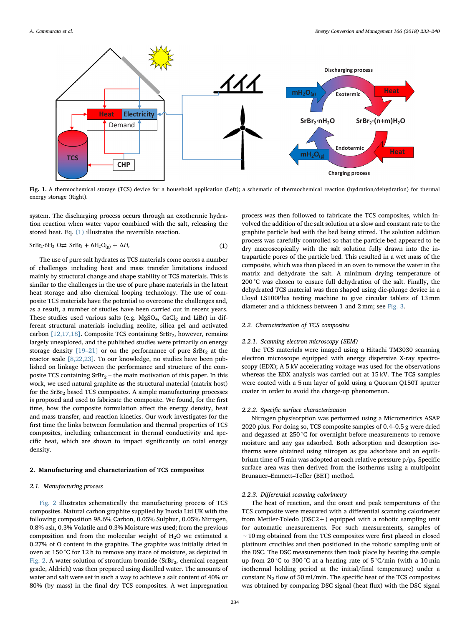<span id="page-1-0"></span>

Fig. 1. A thermochemical storage (TCS) device for a household application (Left); a schematic of thermochemical reaction (hydration/dehydration) for thermal energy storage (Right).

<span id="page-1-1"></span>system. The discharging process occurs through an exothermic hydration reaction when water vapor combined with the salt, releasing the stored heat. Eq. [\(1\)](#page-1-1) illustrates the reversible reaction.

$$
SrBr2·6H2 O \rightleftarrows SrBr2 + 6H2O(g) + \Delta Hr
$$
\n(1)

The use of pure salt hydrates as TCS materials come across a number of challenges including heat and mass transfer limitations induced mainly by structural change and shape stability of TCS materials. This is similar to the challenges in the use of pure phase materials in the latent heat storage and also chemical looping technology. The use of composite TCS materials have the potential to overcome the challenges and, as a result, a number of studies have been carried out in recent years. These studies used various salts (e.g.  $MgSO_4$ ,  $CaCl<sub>2</sub>$  and LiBr) in different structural materials including zeolite, silica gel and activated carbon  $[12,17,18]$ . Composite TCS containing SrBr<sub>2</sub>, however, remains largely unexplored, and the published studies were primarily on energy storage density  $[19-21]$  $[19-21]$  or on the performance of pure SrBr<sub>2</sub> at the reactor scale [\[8,22,23\]](#page--1-7). To our knowledge, no studies have been published on linkage between the performance and structure of the composite TCS containing  $SrBr_2$  – the main motivation of this paper. In this work, we used natural graphite as the structural material (matrix host) for the  $SrBr<sub>2</sub>$  based TCS composites. A simple manufacturing processes is proposed and used to fabricate the composite. We found, for the first time, how the composite formulation affect the energy density, heat and mass transfer, and reaction kinetics. Our work investigates for the first time the links between formulation and thermal properties of TCS composites, including enhancement in thermal conductivity and specific heat, which are shown to impact significantly on total energy density.

#### 2. Manufacturing and characterization of TCS composites

#### 2.1. Manufacturing process

[Fig. 2](#page--1-8) illustrates schematically the manufacturing process of TCS composites. Natural carbon graphite supplied by Inoxia Ltd UK with the following composition 98.6% Carbon, 0.05% Sulphur, 0.05% Nitrogen, 0.8% ash, 0.3% Volatile and 0.3% Moisture was used; from the previous composition and from the molecular weight of  $H_2O$  we estimated a 0.27% of O content in the graphite. The graphite was initially dried in oven at 150 °C for 12 h to remove any trace of moisture, as depicted in [Fig. 2.](#page--1-8) A water solution of strontium bromide ( $SrBr<sub>2</sub>$ , chemical reagent grade, Aldrich) was then prepared using distilled water. The amounts of water and salt were set in such a way to achieve a salt content of 40% or 80% (by mass) in the final dry TCS composites. A wet impregnation

process was then followed to fabricate the TCS composites, which involved the addition of the salt solution at a slow and constant rate to the graphite particle bed with the bed being stirred. The solution addition process was carefully controlled so that the particle bed appeared to be dry macroscopically with the salt solution fully drawn into the intraparticle pores of the particle bed. This resulted in a wet mass of the composite, which was then placed in an oven to remove the water in the matrix and dehydrate the salt. A minimum drying temperature of 200 °C was chosen to ensure full dehydration of the salt. Finally, the dehydrated TCS material was then shaped using die-plunge device in a Lloyd LS100Plus testing machine to give circular tablets of 13 mm diameter and a thickness between 1 and 2 mm; see [Fig. 3.](#page--1-9)

#### 2.2. Characterization of TCS composites

#### 2.2.1. Scanning electron microscopy (SEM)

the TCS materials were imaged using a Hitachi TM3030 scanning electron microscope equipped with energy dispersive X-ray spectroscopy (EDX); A 5 kV accelerating voltage was used for the observations whereas the EDX analysis was carried out at 15 kV. The TCS samples were coated with a 5 nm layer of gold using a Quorum Q150T sputter coater in order to avoid the charge-up phenomenon.

#### 2.2.2. Specific surface characterization

Nitrogen physisorption was performed using a Micromeritics ASAP 2020 plus. For doing so, TCS composite samples of 0.4–0.5 g were dried and degassed at 250 °C for overnight before measurements to remove moisture and any gas adsorbed. Both adsorption and desorption isotherms were obtained using nitrogen as gas adsorbate and an equilibrium time of 5 min was adopted at each relative pressure  $p/p_0$ . Specific surface area was then derived from the isotherms using a multipoint Brunauer–Emmett–Teller (BET) method.

#### 2.2.3. Differential scanning calorimetry

The heat of reaction, and the onset and peak temperatures of the TCS composite were measured with a differential scanning calorimeter from Mettler-Toledo (DSC2+) equipped with a robotic sampling unit for automatic measurements. For such measurements, samples of ∼10 mg obtained from the TCS composites were first placed in closed platinum crucibles and then positioned in the robotic sampling unit of the DSC. The DSC measurements then took place by heating the sample up from 20 °C to 300 °C at a heating rate of 5 °C/min (with a 10 min isothermal holding period at the initial/final temperature) under a constant  $N_2$  flow of 50 ml/min. The specific heat of the TCS composites was obtained by comparing DSC signal (heat flux) with the DSC signal